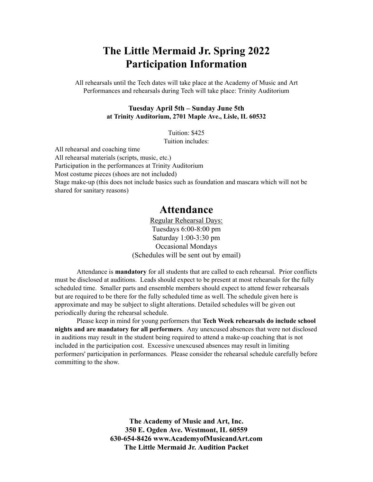# **The Little Mermaid Jr. Spring 2022 Participation Information**

All rehearsals until the Tech dates will take place at the Academy of Music and Art Performances and rehearsals during Tech will take place: Trinity Auditorium

#### **Tuesday April 5th – Sunday June 5th at Trinity Auditorium, 2701 Maple Ave., Lisle, IL 60532**

Tuition: \$425 Tuition includes:

All rehearsal and coaching time All rehearsal materials (scripts, music, etc.) Participation in the performances at Trinity Auditorium Most costume pieces (shoes are not included) Stage make-up (this does not include basics such as foundation and mascara which will not be shared for sanitary reasons)

# **Attendance**

Regular Rehearsal Days: Tuesdays 6:00-8:00 pm Saturday 1:00-3:30 pm Occasional Mondays (Schedules will be sent out by email)

Attendance is **mandatory** for all students that are called to each rehearsal. Prior conflicts must be disclosed at auditions. Leads should expect to be present at most rehearsals for the fully scheduled time. Smaller parts and ensemble members should expect to attend fewer rehearsals but are required to be there for the fully scheduled time as well. The schedule given here is approximate and may be subject to slight alterations. Detailed schedules will be given out periodically during the rehearsal schedule.

Please keep in mind for young performers that **Tech Week rehearsals do include school nights and are mandatory for all performers**. Any unexcused absences that were not disclosed in auditions may result in the student being required to attend a make-up coaching that is not included in the participation cost. Excessive unexcused absences may result in limiting performers' participation in performances. Please consider the rehearsal schedule carefully before committing to the show.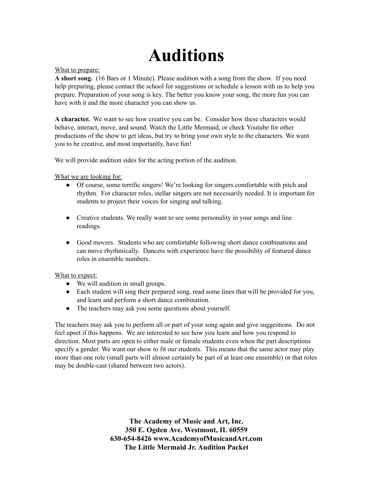# **Auditions**

#### What to prepare:

**A short song.** (16 Bars or 1 Minute). Please audition with a song from the show. If you need help preparing, please contact the school for suggestions or schedule a lesson with us to help you prepare. Preparation of your song is key. The better you know your song, the more fun you can have with it and the more character you can show us.

**A character.** We want to see how creative you can be. Consider how these characters would behave, interact, move, and sound. Watch the Little Mermaid, or check Youtube for other productions of the show to get ideas, but try to bring your own style to the characters. We want you to be creative, and most importantly, have fun!

We will provide audition sides for the acting portion of the audition.

What we are looking for:

- Of course, some terrific singers! We're looking for singers comfortable with pitch and rhythm. For character roles, stellar singers are not necessarily needed. It is important for students to project their voices for singing and talking.
- Creative students. We really want to see some personality in your songs and line readings.
- Good movers. Students who are comfortable following short dance combinations and can move rhythmically. Dancers with experience have the possibility of featured dance roles in ensemble numbers.

#### What to expect:

- We will audition in small groups.
- Each student will sing their prepared song, read some lines that will be provided for you, and learn and perform a short dance combination.
- The teachers may ask you some questions about yourself.

The teachers may ask you to perform all or part of your song again and give suggestions. Do not feel upset if this happens. We are interested to see how you learn and how you respond to direction. Most parts are open to either male or female students even when the part descriptions specify a gender. We want our show to fit our students. This means that the same actor may play more than one role (small parts will almost certainly be part of at least one ensemble) or that roles may be double-cast (shared between two actors).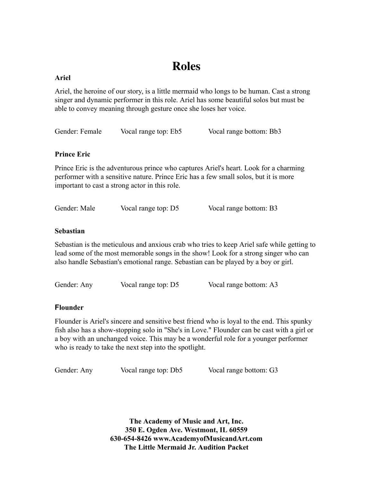# **Roles**

# **Ariel**

Ariel, the heroine of our story, is a little mermaid who longs to be human. Cast a strong singer and dynamic performer in this role. Ariel has some beautiful solos but must be able to convey meaning through gesture once she loses her voice.

| Gender: Female<br>Vocal range top: Eb5 | Vocal range bottom: Bb3 |
|----------------------------------------|-------------------------|
|----------------------------------------|-------------------------|

# **Prince Eric**

Prince Eric is the adventurous prince who captures Ariel's heart. Look for a charming performer with a sensitive nature. Prince Eric has a few small solos, but it is more important to cast a strong actor in this role.

| Gender: Male | Vocal range top: D5 | Vocal range bottom: B3 |
|--------------|---------------------|------------------------|
|              |                     |                        |

# **Sebastian**

Sebastian is the meticulous and anxious crab who tries to keep Ariel safe while getting to lead some of the most memorable songs in the show! Look for a strong singer who can also handle Sebastian's emotional range. Sebastian can be played by a boy or girl.

Gender: Any Vocal range top: D5 Vocal range bottom: A3

# **Flounder**

Flounder is Ariel's sincere and sensitive best friend who is loyal to the end. This spunky fish also has a show-stopping solo in "She's in Love." Flounder can be cast with a girl or a boy with an unchanged voice. This may be a wonderful role for a younger performer who is ready to take the next step into the spotlight.

Gender: Any Vocal range top: Db5 Vocal range bottom: G3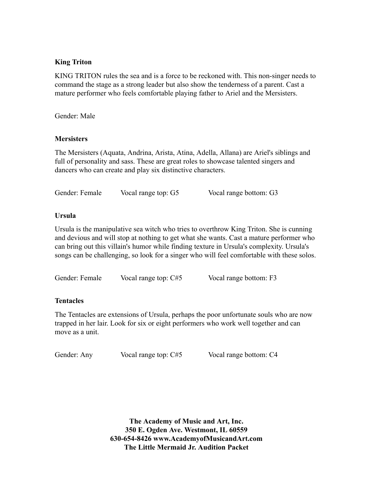### **King Triton**

KING TRITON rules the sea and is a force to be reckoned with. This non-singer needs to command the stage as a strong leader but also show the tenderness of a parent. Cast a mature performer who feels comfortable playing father to Ariel and the Mersisters.

Gender: Male

#### **Mersisters**

The Mersisters (Aquata, Andrina, Arista, Atina, Adella, Allana) are Ariel's siblings and full of personality and sass. These are great roles to showcase talented singers and dancers who can create and play six distinctive characters.

Gender: Female Vocal range top: G5 Vocal range bottom: G3

#### **Ursula**

Ursula is the manipulative sea witch who tries to overthrow King Triton. She is cunning and devious and will stop at nothing to get what she wants. Cast a mature performer who can bring out this villain's humor while finding texture in Ursula's complexity. Ursula's songs can be challenging, so look for a singer who will feel comfortable with these solos.

Gender: Female Vocal range top: C#5 Vocal range bottom: F3

# **Tentacles**

The Tentacles are extensions of Ursula, perhaps the poor unfortunate souls who are now trapped in her lair. Look for six or eight performers who work well together and can move as a unit.

Gender: Any Vocal range top: C#5 Vocal range bottom: C4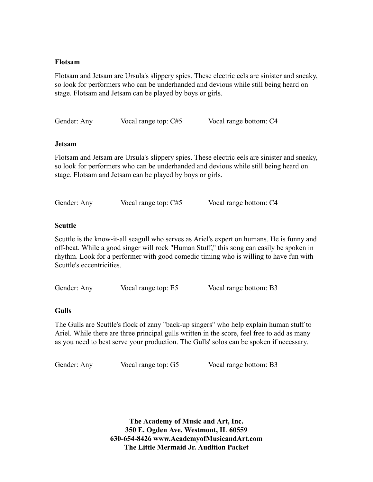#### **Flotsam**

Flotsam and Jetsam are Ursula's slippery spies. These electric eels are sinister and sneaky, so look for performers who can be underhanded and devious while still being heard on stage. Flotsam and Jetsam can be played by boys or girls.

| Gender: Any | Vocal range top: C#5 | Vocal range bottom: C4 |
|-------------|----------------------|------------------------|
|             |                      |                        |

#### **Jetsam**

Flotsam and Jetsam are Ursula's slippery spies. These electric eels are sinister and sneaky, so look for performers who can be underhanded and devious while still being heard on stage. Flotsam and Jetsam can be played by boys or girls.

| Gender: Any | Vocal range top: C#5 | Vocal range bottom: C4 |
|-------------|----------------------|------------------------|

#### **Scuttle**

Scuttle is the know-it-all seagull who serves as Ariel's expert on humans. He is funny and off-beat. While a good singer will rock "Human Stuff," this song can easily be spoken in rhythm. Look for a performer with good comedic timing who is willing to have fun with Scuttle's eccentricities.

| Gender: Any | Vocal range top: E5 | Vocal range bottom: B3 |
|-------------|---------------------|------------------------|
|             |                     |                        |

#### **Gulls**

The Gulls are Scuttle's flock of zany "back-up singers" who help explain human stuff to Ariel. While there are three principal gulls written in the score, feel free to add as many as you need to best serve your production. The Gulls' solos can be spoken if necessary.

Gender: Any Vocal range top: G5 Vocal range bottom: B3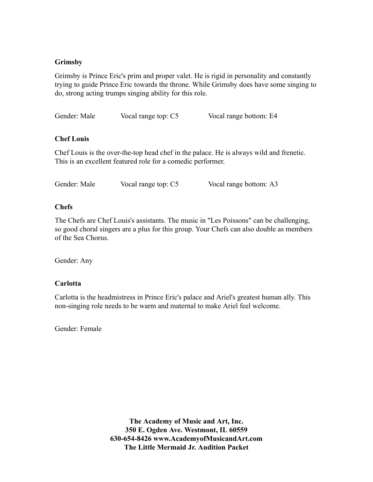# **Grimsby**

Grimsby is Prince Eric's prim and proper valet. He is rigid in personality and constantly trying to guide Prince Eric towards the throne. While Grimsby does have some singing to do, strong acting trumps singing ability for this role.

Gender: Male Vocal range top: C5 Vocal range bottom: E4

# **Chef Louis**

Chef Louis is the over-the-top head chef in the palace. He is always wild and frenetic. This is an excellent featured role for a comedic performer.

| Gender: Male | Vocal range top: C5 | Vocal range bottom: A3 |
|--------------|---------------------|------------------------|

# **Chefs**

The Chefs are Chef Louis's assistants. The music in "Les Poissons" can be challenging, so good choral singers are a plus for this group. Your Chefs can also double as members of the Sea Chorus.

Gender: Any

# **Carlotta**

Carlotta is the headmistress in Prince Eric's palace and Ariel's greatest human ally. This non-singing role needs to be warm and maternal to make Ariel feel welcome.

Gender: Female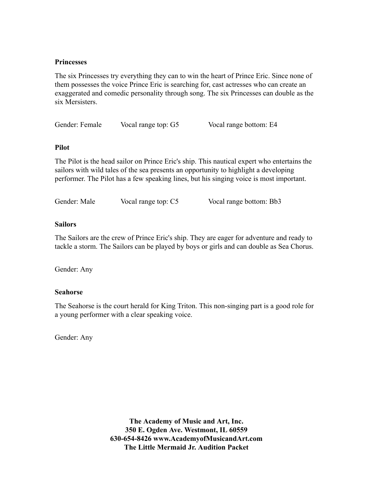#### **Princesses**

The six Princesses try everything they can to win the heart of Prince Eric. Since none of them possesses the voice Prince Eric is searching for, cast actresses who can create an exaggerated and comedic personality through song. The six Princesses can double as the six Mersisters.

| Gender: Female | Vocal range top: G5 | Vocal range bottom: E4 |
|----------------|---------------------|------------------------|
|                |                     |                        |

#### **Pilot**

The Pilot is the head sailor on Prince Eric's ship. This nautical expert who entertains the sailors with wild tales of the sea presents an opportunity to highlight a developing performer. The Pilot has a few speaking lines, but his singing voice is most important.

| Gender: Male | Vocal range top: C5 | Vocal range bottom: Bb3 |
|--------------|---------------------|-------------------------|
|              |                     |                         |

#### **Sailors**

The Sailors are the crew of Prince Eric's ship. They are eager for adventure and ready to tackle a storm. The Sailors can be played by boys or girls and can double as Sea Chorus.

Gender: Any

#### **Seahorse**

The Seahorse is the court herald for King Triton. This non-singing part is a good role for a young performer with a clear speaking voice.

Gender: Any